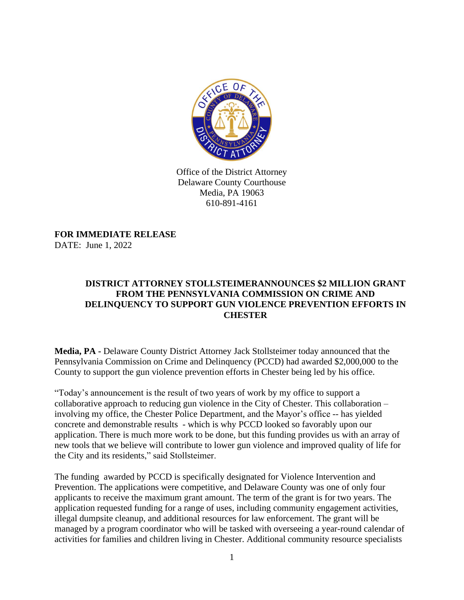

Office of the District Attorney Delaware County Courthouse Media, PA 19063 610-891-4161

**FOR IMMEDIATE RELEASE** DATE: June 1, 2022

## **DISTRICT ATTORNEY STOLLSTEIMERANNOUNCES \$2 MILLION GRANT FROM THE PENNSYLVANIA COMMISSION ON CRIME AND DELINQUENCY TO SUPPORT GUN VIOLENCE PREVENTION EFFORTS IN CHESTER**

**Media, PA -** Delaware County District Attorney Jack Stollsteimer today announced that the Pennsylvania Commission on Crime and Delinquency (PCCD) had awarded \$2,000,000 to the County to support the gun violence prevention efforts in Chester being led by his office.

"Today's announcement is the result of two years of work by my office to support a collaborative approach to reducing gun violence in the City of Chester. This collaboration – involving my office, the Chester Police Department, and the Mayor's office -- has yielded concrete and demonstrable results - which is why PCCD looked so favorably upon our application. There is much more work to be done, but this funding provides us with an array of new tools that we believe will contribute to lower gun violence and improved quality of life for the City and its residents," said Stollsteimer.

The funding awarded by PCCD is specifically designated for Violence Intervention and Prevention. The applications were competitive, and Delaware County was one of only four applicants to receive the maximum grant amount. The term of the grant is for two years. The application requested funding for a range of uses, including community engagement activities, illegal dumpsite cleanup, and additional resources for law enforcement. The grant will be managed by a program coordinator who will be tasked with overseeing a year-round calendar of activities for families and children living in Chester. Additional community resource specialists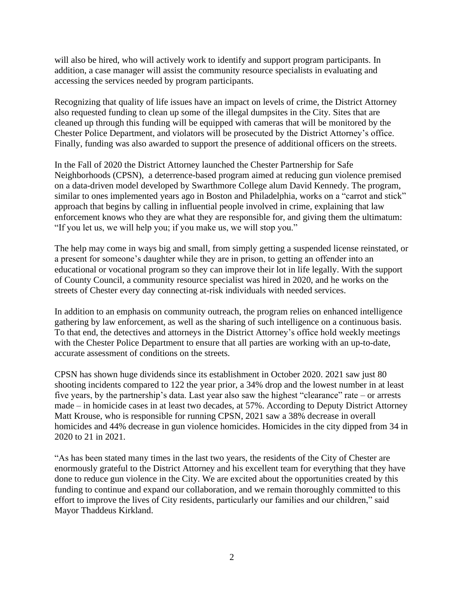will also be hired, who will actively work to identify and support program participants. In addition, a case manager will assist the community resource specialists in evaluating and accessing the services needed by program participants.

Recognizing that quality of life issues have an impact on levels of crime, the District Attorney also requested funding to clean up some of the illegal dumpsites in the City. Sites that are cleaned up through this funding will be equipped with cameras that will be monitored by the Chester Police Department, and violators will be prosecuted by the District Attorney's office. Finally, funding was also awarded to support the presence of additional officers on the streets.

In the Fall of 2020 the District Attorney launched the Chester Partnership for Safe Neighborhoods (CPSN), a deterrence-based program aimed at reducing gun violence premised on a data-driven model developed by Swarthmore College alum David Kennedy. The program, similar to ones implemented years ago in Boston and Philadelphia, works on a "carrot and stick" approach that begins by calling in influential people involved in crime, explaining that law enforcement knows who they are what they are responsible for, and giving them the ultimatum: "If you let us, we will help you; if you make us, we will stop you."

The help may come in ways big and small, from simply getting a suspended license reinstated, or a present for someone's daughter while they are in prison, to getting an offender into an educational or vocational program so they can improve their lot in life legally. With the support of County Council, a community resource specialist was hired in 2020, and he works on the streets of Chester every day connecting at-risk individuals with needed services.

In addition to an emphasis on community outreach, the program relies on enhanced intelligence gathering by law enforcement, as well as the sharing of such intelligence on a continuous basis. To that end, the detectives and attorneys in the District Attorney's office hold weekly meetings with the Chester Police Department to ensure that all parties are working with an up-to-date, accurate assessment of conditions on the streets.

CPSN has shown huge dividends since its establishment in October 2020. 2021 saw just 80 shooting incidents compared to 122 the year prior, a 34% drop and the lowest number in at least five years, by the partnership's data. Last year also saw the highest "clearance" rate – or arrests made – in homicide cases in at least two decades, at 57%. According to Deputy District Attorney Matt Krouse, who is responsible for running CPSN, 2021 saw a 38% decrease in overall homicides and 44% decrease in gun violence homicides. Homicides in the city dipped from 34 in 2020 to 21 in 2021.

"As has been stated many times in the last two years, the residents of the City of Chester are enormously grateful to the District Attorney and his excellent team for everything that they have done to reduce gun violence in the City. We are excited about the opportunities created by this funding to continue and expand our collaboration, and we remain thoroughly committed to this effort to improve the lives of City residents, particularly our families and our children," said Mayor Thaddeus Kirkland.